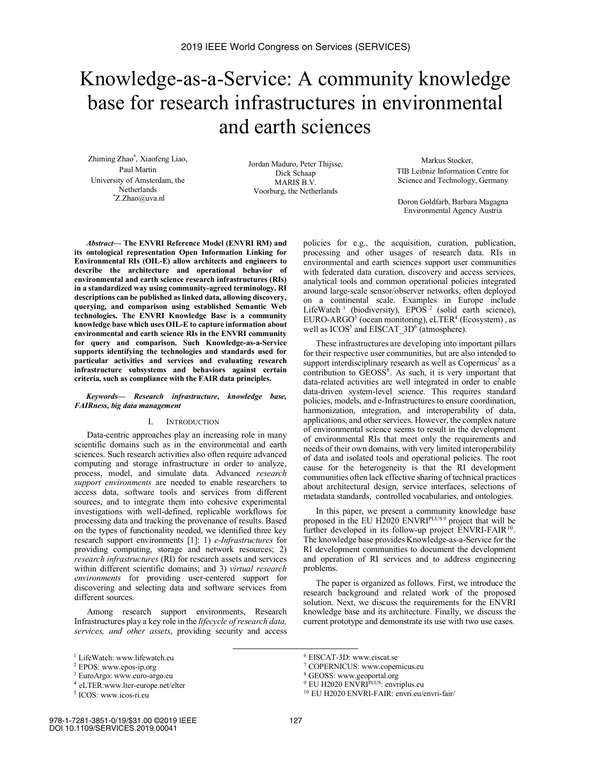# Knowledge-as-a-Service: A community knowledge base for research infrastructures in environmental and earth sciences

Zhiming Zhao\* , Xiaofeng Liao, Paul Martin University of Amsterdam, the Netherlands \* Z.Zhao@uva.nl

Jordan Maduro, Peter Thijsse, Dick Schaap MARIS B.V. Voorburg, the Netherlands

 Markus Stocker, TIB Leibniz Information Centre for Science and Technology, Germany

Doron Goldfarb, Barbara Magagna Environmental Agency Austria

*Abstract***— The ENVRI Reference Model (ENVRI RM) and its ontological representation Open Information Linking for Environmental RIs (OIL-E) allow architects and engineers to describe the architecture and operational behavior of environmental and earth science research infrastructures (RIs) in a standardized way using community-agreed terminology. RI descriptions can be published as linked data, allowing discovery, querying, and comparison using established Semantic Web technologies. The ENVRI Knowledge Base is a community knowledge base which uses OIL-E to capture information about environmental and earth science RIs in the ENVRI community for query and comparison. Such Knowledge-as-a-Service supports identifying the technologies and standards used for particular activities and services and evaluating research infrastructure subsystems and behaviors against certain criteria, such as compliance with the FAIR data principles.**

#### *Keywords— Research infrastructure, knowledge base, FAIRness, big data management*

#### I. INTRODUCTION

Data-centric approaches play an increasing role in many scientific domains such as in the environmental and earth sciences. Such research activities also often require advanced computing and storage infrastructure in order to analyze, process, model, and simulate data. Advanced *research support environments* are needed to enable researchers to access data, software tools and services from different sources, and to integrate them into cohesive experimental investigations with well-defined, replicable workflows for processing data and tracking the provenance of results. Based on the types of functionality needed, we identified three key research support environments [1]: 1) *e-Infrastructures* for providing computing, storage and network resources; 2) *research infrastructures* (RI) for research assets and services within different scientific domains; and 3) *virtual research environments* for providing user-centered support for discovering and selecting data and software services from different sources.

Among research support environments, Research Infrastructures play a key role in the *lifecycle of research data, services, and other assets*, providing security and access

policies for e.g., the acquisition, curation, publication, processing and other usages of research data. RIs in environmental and earth sciences support user communities with federated data curation, discovery and access services, analytical tools and common operational policies integrated around large-scale sensor/observer networks, often deployed on a continental scale. Examples in Europe include LifeWatch<sup>1</sup> (biodiversity), EPOS<sup>2</sup> (solid earth science),  $EURO-ARGO<sup>3</sup>$  (ocean monitoring),  $eLTER<sup>4</sup>$  (Ecosystem), as well as ICOS<sup>5</sup> and EISCAT\_3D<sup>6</sup> (atmosphere).

These infrastructures are developing into important pillars for their respective user communities, but are also intended to support interdisciplinary research as well as Copernicus<sup>7</sup> as a contribution to  $\widehat{GE}OSS^8$ . As such, it is very important that data-related activities are well integrated in order to enable data-driven system-level science. This requires standard policies, models, and e-Infrastructures to ensure coordination, harmonization, integration, and interoperability of data, applications, and other services. However, the complex nature of environmental science seems to result in the development of environmental RIs that meet only the requirements and needs of their own domains, with very limited interoperability of data and isolated tools and operational policies. The root cause for the heterogeneity is that the RI development communities often lack effective sharing of technical practices about architectural design, service interfaces, selections of metadata standards, controlled vocabularies, and ontologies.

In this paper, we present a community knowledge base proposed in the EU H2020 ENVRI<sup>PLUS 9</sup> project that will be further developed in its follow-up project ENVRI-FAIR $^{10}$ . The knowledge base provides Knowledge-as-a-Service for the RI development communities to document the development and operation of RI services and to address engineering problems.

The paper is organized as follows. First, we introduce the research background and related work of the proposed solution. Next, we discuss the requirements for the ENVRI knowledge base and its architecture. Finally, we discuss the current prototype and demonstrate its use with two use cases.

 <sup>1</sup> LifeWatch: www.lifewatch.eu

<sup>2</sup> EPOS: www.epos-ip.org

<sup>3</sup> EuroArgo: www.euro-argo.eu

<sup>4</sup> eLTER:www.lter-europe.net/elter

<sup>5</sup> ICOS: www.icos-ri.eu

<sup>6</sup> EISCAT-3D: www.eiscat.se

<sup>7</sup> COPERNICUS: www.copernicus.eu

<sup>8</sup> GEOSS: www.geoportal.org

<sup>&</sup>lt;sup>9</sup> EU H2020 ENVRI<sup>PLUS</sup>: envriplus.eu<br><sup>10</sup> EU H2020 ENVRI-FAIR: envri.eu/envri-fair/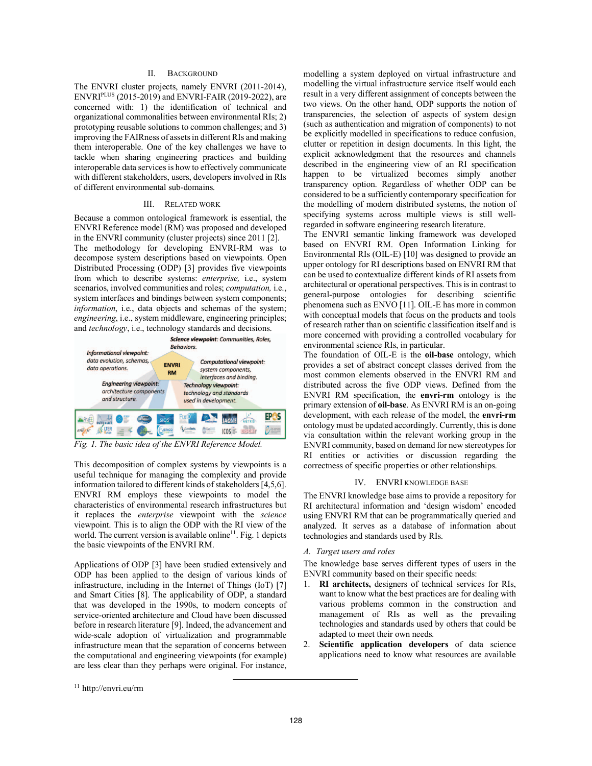#### II. BACKGROUND

The ENVRI cluster projects, namely ENVRI (2011-2014), ENVRIPLUS (2015-2019) and ENVRI-FAIR (2019-2022), are concerned with: 1) the identification of technical and organizational commonalities between environmental RIs; 2) prototyping reusable solutions to common challenges; and 3) improving the FAIRness of assets in different RIs and making them interoperable. One of the key challenges we have to tackle when sharing engineering practices and building interoperable data services is how to effectively communicate with different stakeholders, users, developers involved in RIs of different environmental sub-domains.

#### III. RELATED WORK

Because a common ontological framework is essential, the ENVRI Reference model (RM) was proposed and developed in the ENVRI community (cluster projects) since 2011 [2]. The methodology for developing ENVRI-RM was to decompose system descriptions based on viewpoints. Open Distributed Processing (ODP) [3] provides five viewpoints from which to describe systems: *enterprise,* i.e., system scenarios, involved communities and roles; *computation,* i.e., system interfaces and bindings between system components; *information*, i.e., data objects and schemas of the system; *engineering*, i.e., system middleware, engineering principles; and *technology*, i.e., technology standards and decisions.



*Fig. 1. The basic idea of the ENVRI Reference Model.*

This decomposition of complex systems by viewpoints is a useful technique for managing the complexity and provide information tailored to different kinds of stakeholders [4,5,6]. ENVRI RM employs these viewpoints to model the characteristics of environmental research infrastructures but it replaces the *enterprise* viewpoint with the *science* viewpoint. This is to align the ODP with the RI view of the world. The current version is available online<sup>11</sup>. Fig. 1 depicts the basic viewpoints of the ENVRI RM.

Applications of ODP [3] have been studied extensively and ODP has been applied to the design of various kinds of infrastructure, including in the Internet of Things (IoT) [7] and Smart Cities [8]. The applicability of ODP, a standard that was developed in the 1990s, to modern concepts of service-oriented architecture and Cloud have been discussed before in research literature [9]. Indeed, the advancement and wide-scale adoption of virtualization and programmable infrastructure mean that the separation of concerns between the computational and engineering viewpoints (for example) are less clear than they perhaps were original. For instance, The ENVRI semantic linking framework was developed based on ENVRI RM. Open Information Linking for Environmental RIs (OIL-E) [10] was designed to provide an upper ontology for RI descriptions based on ENVRI RM that can be used to contextualize different kinds of RI assets from architectural or operational perspectives. This is in contrast to general-purpose ontologies for describing scientific phenomena such as ENVO [11]. OIL-E has more in common with conceptual models that focus on the products and tools of research rather than on scientific classification itself and is more concerned with providing a controlled vocabulary for environmental science RIs, in particular.

The foundation of OIL-E is the **oil-base** ontology, which provides a set of abstract concept classes derived from the most common elements observed in the ENVRI RM and distributed across the five ODP views. Defined from the ENVRI RM specification, the **envri-rm** ontology is the primary extension of **oil-base**. As ENVRI RM is an on-going development, with each release of the model, the **envri-rm** ontology must be updated accordingly. Currently, this is done via consultation within the relevant working group in the ENVRI community, based on demand for new stereotypes for RI entities or activities or discussion regarding the correctness of specific properties or other relationships.

#### IV. ENVRI KNOWLEDGE BASE

The ENVRI knowledge base aims to provide a repository for RI architectural information and 'design wisdom' encoded using ENVRI RM that can be programmatically queried and analyzed. It serves as a database of information about technologies and standards used by RIs.

#### *A. Target users and roles*

The knowledge base serves different types of users in the ENVRI community based on their specific needs:

- 1. **RI architects,** designers of technical services for RIs, want to know what the best practices are for dealing with various problems common in the construction and management of RIs as well as the prevailing technologies and standards used by others that could be adapted to meet their own needs.
- 2. **Scientific application developers** of data science applications need to know what resources are available

modelling a system deployed on virtual infrastructure and modelling the virtual infrastructure service itself would each result in a very different assignment of concepts between the two views. On the other hand, ODP supports the notion of transparencies, the selection of aspects of system design (such as authentication and migration of components) to not be explicitly modelled in specifications to reduce confusion, clutter or repetition in design documents. In this light, the explicit acknowledgment that the resources and channels described in the engineering view of an RI specification happen to be virtualized becomes simply another transparency option. Regardless of whether ODP can be considered to be a sufficiently contemporary specification for the modelling of modern distributed systems, the notion of specifying systems across multiple views is still wellregarded in software engineering research literature.

 <sup>11</sup> http://envri.eu/rm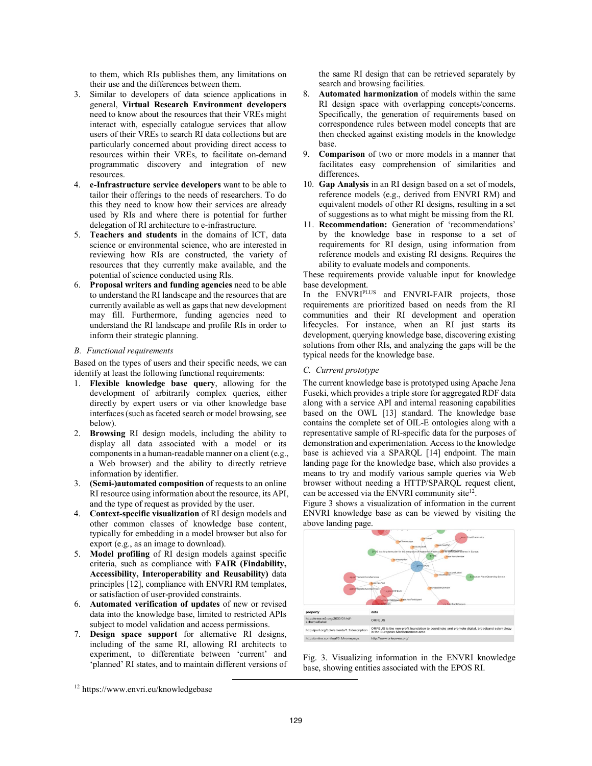to them, which RIs publishes them, any limitations on their use and the differences between them.

- 3. Similar to developers of data science applications in general, **Virtual Research Environment developers** need to know about the resources that their VREs might interact with, especially catalogue services that allow users of their VREs to search RI data collections but are particularly concerned about providing direct access to resources within their VREs, to facilitate on-demand programmatic discovery and integration of new resources.
- 4. **e-Infrastructure service developers** want to be able to tailor their offerings to the needs of researchers. To do this they need to know how their services are already used by RIs and where there is potential for further delegation of RI architecture to e-infrastructure.
- 5. **Teachers and students** in the domains of ICT, data science or environmental science, who are interested in reviewing how RIs are constructed, the variety of resources that they currently make available, and the potential of science conducted using RIs.
- 6. **Proposal writers and funding agencies** need to be able to understand the RI landscape and the resources that are currently available as well as gaps that new development may fill. Furthermore, funding agencies need to understand the RI landscape and profile RIs in order to inform their strategic planning.

#### *B. Functional requirements*

Based on the types of users and their specific needs, we can identify at least the following functional requirements:

- 1. **Flexible knowledge base query**, allowing for the development of arbitrarily complex queries, either directly by expert users or via other knowledge base interfaces (such as faceted search or model browsing, see below).
- 2. **Browsing** RI design models, including the ability to display all data associated with a model or its components in a human-readable manner on a client (e.g., a Web browser) and the ability to directly retrieve information by identifier.
- 3. **(Semi-)automated composition** of requests to an online RI resource using information about the resource, its API, and the type of request as provided by the user.
- 4. **Context-specific visualization** of RI design models and other common classes of knowledge base content, typically for embedding in a model browser but also for export (e.g., as an image to download).
- 5. **Model profiling** of RI design models against specific criteria, such as compliance with **FAIR (Findability, Accessibility, Interoperability and Reusability)** data principles [12], compliance with ENVRI RM templates, or satisfaction of user-provided constraints.
- 6. **Automated verification of updates** of new or revised data into the knowledge base, limited to restricted APIs subject to model validation and access permissions.
- 7. **Design space support** for alternative RI designs, including of the same RI, allowing RI architects to experiment, to differentiate between 'current' and 'planned' RI states, and to maintain different versions of

the same RI design that can be retrieved separately by search and browsing facilities.

- 8. **Automated harmonization** of models within the same RI design space with overlapping concepts/concerns. Specifically, the generation of requirements based on correspondence rules between model concepts that are then checked against existing models in the knowledge base.
- 9. **Comparison** of two or more models in a manner that facilitates easy comprehension of similarities and differences.
- 10. **Gap Analysis** in an RI design based on a set of models, reference models (e.g., derived from ENVRI RM) and equivalent models of other RI designs, resulting in a set of suggestions as to what might be missing from the RI.
- 11. **Recommendation:** Generation of 'recommendations' by the knowledge base in response to a set of requirements for RI design, using information from reference models and existing RI designs. Requires the ability to evaluate models and components.

These requirements provide valuable input for knowledge base development.

In the ENVRI<sup>PLUS</sup> and ENVRI-FAIR projects, those requirements are prioritized based on needs from the RI communities and their RI development and operation lifecycles. For instance, when an RI just starts its development, querying knowledge base, discovering existing solutions from other RIs, and analyzing the gaps will be the typical needs for the knowledge base.

#### *C. Current prototype*

The current knowledge base is prototyped using Apache Jena Fuseki, which provides a triple store for aggregated RDF data along with a service API and internal reasoning capabilities based on the OWL [13] standard. The knowledge base contains the complete set of OIL-E ontologies along with a representative sample of RI-specific data for the purposes of demonstration and experimentation. Access to the knowledge base is achieved via a SPARQL [14] endpoint. The main landing page for the knowledge base, which also provides a means to try and modify various sample queries via Web browser without needing a HTTP/SPARQL request client, can be accessed via the ENVRI community site<sup>12</sup>.

Figure 3 shows a visualization of information in the current ENVRI knowledge base as can be viewed by visiting the above landing page.



Fig. 3. Visualizing information in the ENVRI knowledge base, showing entities associated with the EPOS RI.

 <sup>12</sup> https://www.envri.eu/knowledgebase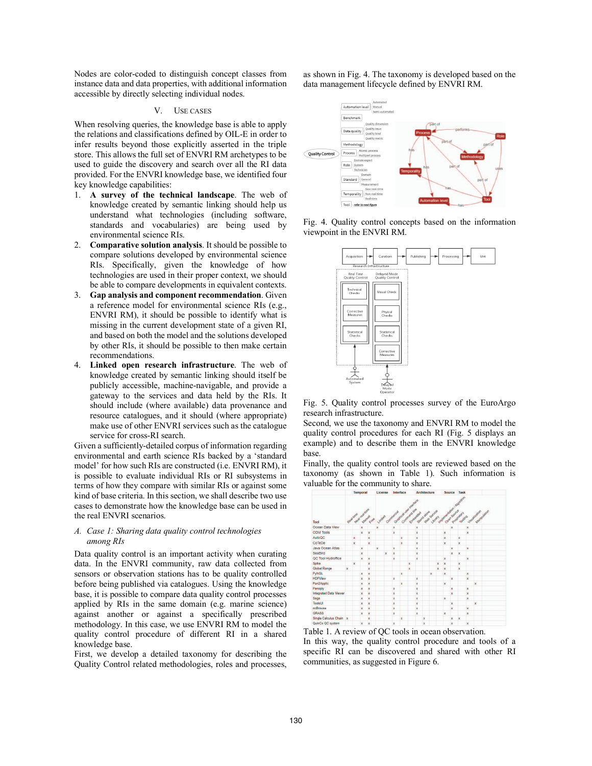Nodes are color-coded to distinguish concept classes from instance data and data properties, with additional information accessible by directly selecting individual nodes.

#### V. USE CASES

When resolving queries, the knowledge base is able to apply the relations and classifications defined by OIL-E in order to infer results beyond those explicitly asserted in the triple store. This allows the full set of ENVRI RM archetypes to be used to guide the discovery and search over all the RI data provided. For the ENVRI knowledge base, we identified four key knowledge capabilities:

- 1. **A survey of the technical landscape**. The web of knowledge created by semantic linking should help us understand what technologies (including software, standards and vocabularies) are being used by environmental science RIs.
- 2. **Comparative solution analysis**. It should be possible to compare solutions developed by environmental science RIs. Specifically, given the knowledge of how technologies are used in their proper context, we should be able to compare developments in equivalent contexts.
- 3. **Gap analysis and component recommendation**. Given a reference model for environmental science RIs (e.g., ENVRI RM), it should be possible to identify what is missing in the current development state of a given RI, and based on both the model and the solutions developed by other RIs, it should be possible to then make certain recommendations.
- 4. **Linked open research infrastructure**. The web of knowledge created by semantic linking should itself be publicly accessible, machine-navigable, and provide a gateway to the services and data held by the RIs. It should include (where available) data provenance and resource catalogues, and it should (where appropriate) make use of other ENVRI services such as the catalogue service for cross-RI search.

Given a sufficiently-detailed corpus of information regarding environmental and earth science RIs backed by a 'standard model' for how such RIs are constructed (i.e. ENVRI RM), it is possible to evaluate individual RIs or RI subsystems in terms of how they compare with similar RIs or against some kind of base criteria. In this section, we shall describe two use cases to demonstrate how the knowledge base can be used in the real ENVRI scenarios.

## *A. Case 1: Sharing data quality control technologies among RIs*

Data quality control is an important activity when curating data. In the ENVRI community, raw data collected from sensors or observation stations has to be quality controlled before being published via catalogues. Using the knowledge base, it is possible to compare data quality control processes applied by RIs in the same domain (e.g. marine science) against another or against a specifically prescribed methodology. In this case, we use ENVRI RM to model the quality control procedure of different RI in a shared knowledge base.

First, we develop a detailed taxonomy for describing the Quality Control related methodologies, roles and processes, as shown in Fig. 4. The taxonomy is developed based on the data management lifecycle defined by ENVRI RM.



Fig. 4. Quality control concepts based on the information viewpoint in the ENVRI RM.



Fig. 5. Quality control processes survey of the EuroArgo research infrastructure.

Second, we use the taxonomy and ENVRI RM to model the quality control procedures for each RI (Fig. 5 displays an example) and to describe them in the ENVRI knowledge base.

Finally, the quality control tools are reviewed based on the taxonomy (as shown in Table 1). Such information is valuable for the community to share.



Table 1. A review of QC tools in ocean observation. In this way, the quality control procedure and tools of a specific RI can be discovered and shared with other RI communities, as suggested in Figure 6.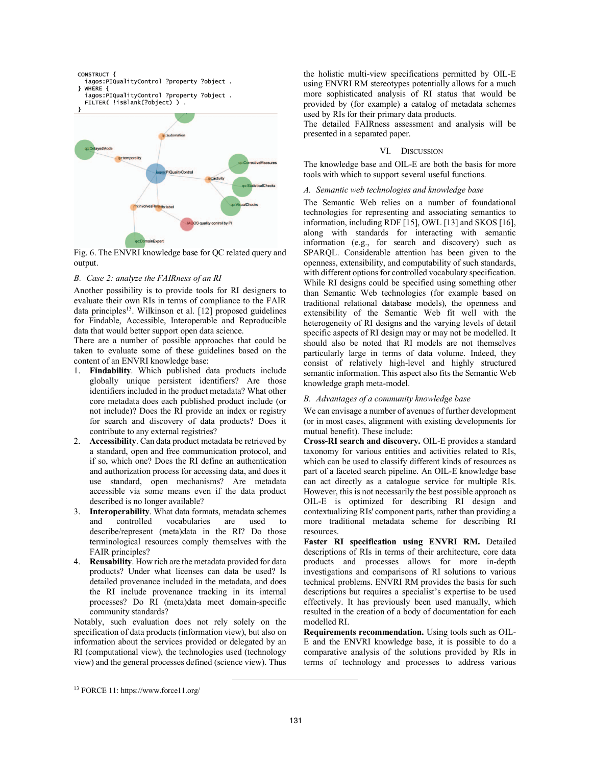

Fig. 6. The ENVRI knowledge base for QC related query and output.

#### *B. Case 2: analyze the FAIRness of an RI*

Another possibility is to provide tools for RI designers to evaluate their own RIs in terms of compliance to the FAIR data principles<sup>13</sup>. Wilkinson et al. [12] proposed guidelines for Findable, Accessible, Interoperable and Reproducible data that would better support open data science.

There are a number of possible approaches that could be taken to evaluate some of these guidelines based on the content of an ENVRI knowledge base:

- 1. **Findability**. Which published data products include globally unique persistent identifiers? Are those identifiers included in the product metadata? What other core metadata does each published product include (or not include)? Does the RI provide an index or registry for search and discovery of data products? Does it contribute to any external registries?
- 2. **Accessibility**. Can data product metadata be retrieved by a standard, open and free communication protocol, and if so, which one? Does the RI define an authentication and authorization process for accessing data, and does it use standard, open mechanisms? Are metadata accessible via some means even if the data product described is no longer available?
- 3. **Interoperability**. What data formats, metadata schemes and controlled vocabularies are used to describe/represent (meta)data in the RI? Do those terminological resources comply themselves with the FAIR principles?
- 4. **Reusability**. How rich are the metadata provided for data products? Under what licenses can data be used? Is detailed provenance included in the metadata, and does the RI include provenance tracking in its internal processes? Do RI (meta)data meet domain-specific community standards?

Notably, such evaluation does not rely solely on the specification of data products (information view), but also on information about the services provided or delegated by an RI (computational view), the technologies used (technology view) and the general processes defined (science view). Thus

the holistic multi-view specifications permitted by OIL-E using ENVRI RM stereotypes potentially allows for a much more sophisticated analysis of RI status that would be provided by (for example) a catalog of metadata schemes used by RIs for their primary data products.

The detailed FAIRness assessment and analysis will be presented in a separated paper.

## VI. DISCUSSION

The knowledge base and OIL-E are both the basis for more tools with which to support several useful functions.

## *A. Semantic web technologies and knowledge base*

The Semantic Web relies on a number of foundational technologies for representing and associating semantics to information, including RDF [15], OWL [13] and SKOS [16], along with standards for interacting with semantic information (e.g., for search and discovery) such as SPARQL. Considerable attention has been given to the openness, extensibility, and computability of such standards, with different options for controlled vocabulary specification. While RI designs could be specified using something other than Semantic Web technologies (for example based on traditional relational database models), the openness and extensibility of the Semantic Web fit well with the heterogeneity of RI designs and the varying levels of detail specific aspects of RI design may or may not be modelled. It should also be noted that RI models are not themselves particularly large in terms of data volume. Indeed, they consist of relatively high-level and highly structured semantic information. This aspect also fits the Semantic Web knowledge graph meta-model.

## *B. Advantages of a community knowledge base*

We can envisage a number of avenues of further development (or in most cases, alignment with existing developments for mutual benefit). These include:

**Cross-RI search and discovery.** OIL-E provides a standard taxonomy for various entities and activities related to RIs, which can be used to classify different kinds of resources as part of a faceted search pipeline. An OIL-E knowledge base can act directly as a catalogue service for multiple RIs. However, this is not necessarily the best possible approach as OIL-E is optimized for describing RI design and contextualizing RIs' component parts, rather than providing a more traditional metadata scheme for describing RI resources.

**Faster RI specification using ENVRI RM.** Detailed descriptions of RIs in terms of their architecture, core data products and processes allows for more in-depth investigations and comparisons of RI solutions to various technical problems. ENVRI RM provides the basis for such descriptions but requires a specialist's expertise to be used effectively. It has previously been used manually, which resulted in the creation of a body of documentation for each modelled RI.

**Requirements recommendation.** Using tools such as OIL-E and the ENVRI knowledge base, it is possible to do a comparative analysis of the solutions provided by RIs in terms of technology and processes to address various

 <sup>13</sup> FORCE 11: https://www.force11.org/